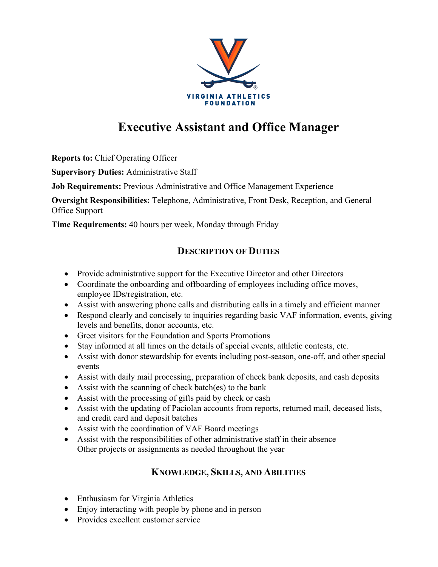

## **Executive Assistant and Office Manager**

**Reports to:** Chief Operating Officer

**Supervisory Duties:** Administrative Staff

**Job Requirements:** Previous Administrative and Office Management Experience

**Oversight Responsibilities:** Telephone, Administrative, Front Desk, Reception, and General Office Support

**Time Requirements:** 40 hours per week, Monday through Friday

## **DESCRIPTION OF DUTIES**

- Provide administrative support for the Executive Director and other Directors
- Coordinate the onboarding and offboarding of employees including office moves, employee IDs/registration, etc.
- Assist with answering phone calls and distributing calls in a timely and efficient manner
- Respond clearly and concisely to inquiries regarding basic VAF information, events, giving levels and benefits, donor accounts, etc.
- Greet visitors for the Foundation and Sports Promotions
- Stay informed at all times on the details of special events, athletic contests, etc.
- Assist with donor stewardship for events including post-season, one-off, and other special events
- Assist with daily mail processing, preparation of check bank deposits, and cash deposits
- Assist with the scanning of check batch(es) to the bank
- Assist with the processing of gifts paid by check or cash
- Assist with the updating of Paciolan accounts from reports, returned mail, deceased lists, and credit card and deposit batches
- Assist with the coordination of VAF Board meetings
- Assist with the responsibilities of other administrative staff in their absence Other projects or assignments as needed throughout the year

## **KNOWLEDGE, SKILLS, AND ABILITIES**

- Enthusiasm for Virginia Athletics
- Enjoy interacting with people by phone and in person
- Provides excellent customer service